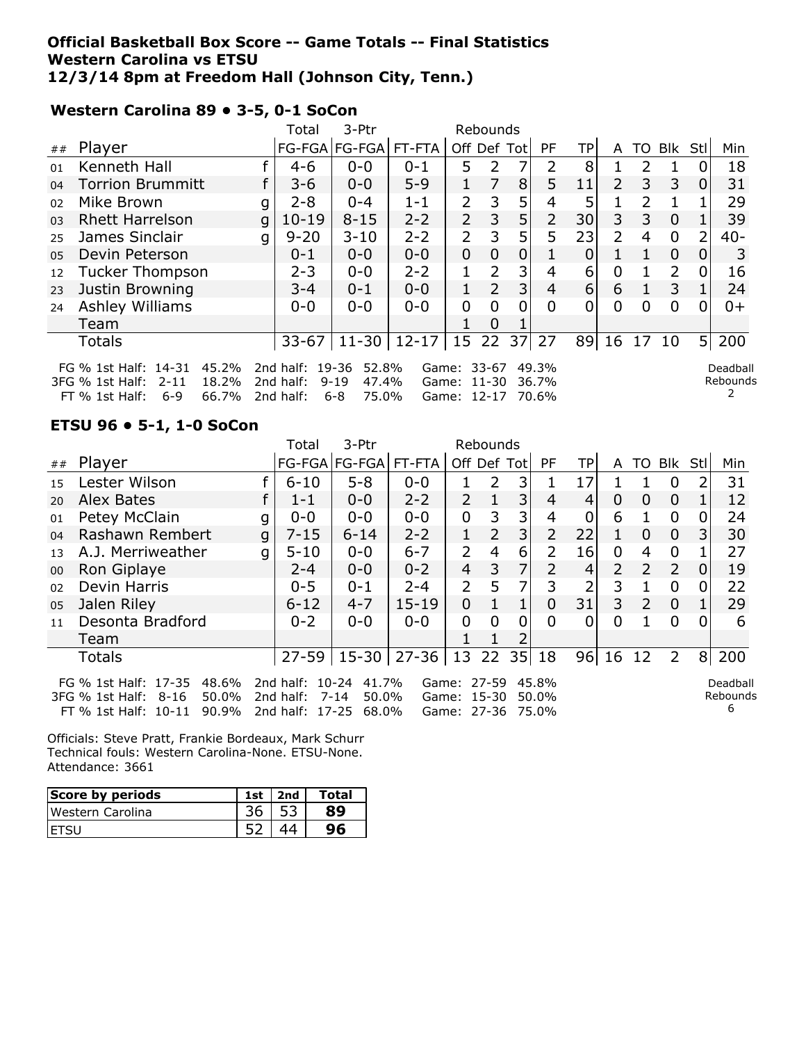### **Official Basketball Box Score -- Game Totals -- Final Statistics Western Carolina vs ETSU 12/3/14 8pm at Freedom Hall (Johnson City, Tenn.)**

FT % 1st Half: 6-9 66.7% 2nd half: 6-8 75.0% Game: 12-17 70.6%

|                                                                                                              |                                                                                                                                                                                                                                                                                                                               |   | Total     | 3-Ptr         | Rebounds |                |                |                |           |                 |                |                |                |     |        |
|--------------------------------------------------------------------------------------------------------------|-------------------------------------------------------------------------------------------------------------------------------------------------------------------------------------------------------------------------------------------------------------------------------------------------------------------------------|---|-----------|---------------|----------|----------------|----------------|----------------|-----------|-----------------|----------------|----------------|----------------|-----|--------|
| ##                                                                                                           | Player                                                                                                                                                                                                                                                                                                                        |   |           | FG-FGA FG-FGA | FT-FTA   | Off Def Tot    |                |                | <b>PF</b> | TPI             | A              | TO             | Blk            | Stl | Min    |
| 01                                                                                                           | Kenneth Hall                                                                                                                                                                                                                                                                                                                  |   | $4 - 6$   | $0 - 0$       | $0 - 1$  | 5.             | 2              |                | 2         | 8               |                | 2              |                |     | 18     |
| 04                                                                                                           | <b>Torrion Brummitt</b>                                                                                                                                                                                                                                                                                                       |   | $3-6$     | $0 - 0$       | $5 - 9$  |                | 7              | 8              | 5         | 11              | $\overline{2}$ | 3              | 3              | 0   | 31     |
| 02                                                                                                           | Mike Brown                                                                                                                                                                                                                                                                                                                    | g | $2 - 8$   | $0 - 4$       | $1 - 1$  | $\overline{2}$ | 3              | 5              | 4         | 5               |                | $\overline{2}$ |                |     | 29     |
| 03                                                                                                           | <b>Rhett Harrelson</b>                                                                                                                                                                                                                                                                                                        | q | $10 - 19$ | $8 - 15$      | $2 - 2$  | $\overline{2}$ | 3              | 5              |           | 30 <sup>1</sup> | 3              | 3              | $\overline{0}$ |     | 39     |
| 25                                                                                                           | James Sinclair                                                                                                                                                                                                                                                                                                                | q | $9 - 20$  | $3 - 10$      | $2 - 2$  | 2              | 3              | 5              | 5         | 23              | $\overline{2}$ | 4              | $\Omega$       |     | $40 -$ |
| 05                                                                                                           | Devin Peterson                                                                                                                                                                                                                                                                                                                |   | $0 - 1$   | $0 - 0$       | $0 - 0$  | 0              | 0              | 0              |           | 0               |                |                | $\overline{0}$ | O   | 3      |
| 12                                                                                                           | <b>Tucker Thompson</b>                                                                                                                                                                                                                                                                                                        |   | $2 - 3$   | $0 - 0$       | $2 - 2$  |                | 2              | 3              | 4         | 6               | 0              |                | $\overline{2}$ |     | 16     |
| 23                                                                                                           | Justin Browning                                                                                                                                                                                                                                                                                                               |   | $3 - 4$   | $0 - 1$       | $0 - 0$  | 1              | $\overline{2}$ | 3 <sub>1</sub> | 4         | 6 <sup>1</sup>  | 6              |                | 3              |     | 24     |
| 24                                                                                                           | Ashley Williams                                                                                                                                                                                                                                                                                                               |   | $0 - 0$   | $0 - 0$       | $0 - 0$  | 0              | 0              | 0              | 0         | 0               | 0              | 0              | 0              | 0   | 0+     |
|                                                                                                              | Team                                                                                                                                                                                                                                                                                                                          |   |           |               |          |                | 0              |                |           |                 |                |                |                |     |        |
| 51<br>$12 - 17$   15<br>22<br>37<br>$\sqrt{27}$<br>$33 - 67$   11-30  <br>89 16<br>17<br>10<br><b>Totals</b> |                                                                                                                                                                                                                                                                                                                               |   |           |               |          |                |                | 200            |           |                 |                |                |                |     |        |
|                                                                                                              | FG % 1st Half: 14-31<br>45.2%<br>2nd half: 19-36<br>52.8%<br>Game: 33-67<br>49.3%<br>Deadball<br>$2 - 11$<br>18.2%<br>Rebounds<br>$3FG$ % 1st Half:<br>2nd half:<br>$9 - 19$<br>47.4%<br>Game: 11-30<br>36.7%<br>$6-9$<br>66 7%<br>75 N <sub>%</sub><br>$FT 0/2 1$ ct Half $\cdot$<br>2nd half:<br>6-R<br>$Gama: 12-17.706\%$ |   |           |               |          |                |                |                |           |                 |                |                |                |     |        |

## **Western Carolina 89 • 3-5, 0-1 SoCon**

### **ETSU 96 • 5-1, 1-0 SoCon**

|    |                                                                                                                                                                                                                                                                                           |   | Total    | 3-Ptr                         | Rebounds  |                |                |                |                |                 |                           |                |                |    |       |
|----|-------------------------------------------------------------------------------------------------------------------------------------------------------------------------------------------------------------------------------------------------------------------------------------------|---|----------|-------------------------------|-----------|----------------|----------------|----------------|----------------|-----------------|---------------------------|----------------|----------------|----|-------|
| ## | Player                                                                                                                                                                                                                                                                                    |   |          | FG-FGA FG-FGA                 | FT-FTA    | Off Def Tot    |                |                | <b>PF</b>      | TP <sub>l</sub> | A                         | TO             | Blk Stl        |    | Min   |
| 15 | Lester Wilson                                                                                                                                                                                                                                                                             |   | $6 - 10$ | $5 - 8$                       | $0 - 0$   |                | 2              | 3              |                | 17              |                           |                | 0              | 2. | 31    |
| 20 | Alex Bates                                                                                                                                                                                                                                                                                |   | $1 - 1$  | $0 - 0$                       | $2 - 2$   | $\overline{2}$ |                | 3              | 4              | 4               | 0                         | 0              | $\mathbf 0$    |    | 12    |
| 01 | Petey McClain                                                                                                                                                                                                                                                                             | g | $0 - 0$  | $0 - 0$                       | $0 - 0$   | 0              | 3              | 3              | 4              | 0               | 6                         |                | $\mathbf 0$    | 0  | 24    |
| 04 | Rashawn Rembert                                                                                                                                                                                                                                                                           | g | $7 - 15$ | $6 - 14$                      | $2 - 2$   |                | $\overline{2}$ | 3              | 2              | 22              |                           | 0              | 0              | 3  | 30    |
| 13 | A.J. Merriweather                                                                                                                                                                                                                                                                         | g | $5 - 10$ | $0 - 0$                       | $6 - 7$   | $\overline{2}$ | 4              | 6              | $\overline{2}$ | 16              | 0                         | 4              | $\mathbf 0$    |    | 27    |
| 00 | Ron Giplaye                                                                                                                                                                                                                                                                               |   | $2 - 4$  | $0 - 0$                       | $0 - 2$   | $\overline{4}$ | 3              | 7              | $\overline{2}$ | 4               | $\mathsf{2}^{\mathsf{1}}$ | $\overline{2}$ | 2              | 0  | 19    |
| 02 | Devin Harris                                                                                                                                                                                                                                                                              |   | $0 - 5$  | $0 - 1$                       | $2 - 4$   | $\overline{2}$ | 5              | 7              | 3              | 2               | 3                         |                | 0              | 0  | 22    |
| 05 | Jalen Riley                                                                                                                                                                                                                                                                               |   | $6 - 12$ | $4 - 7$                       | $15 - 19$ | 0              |                |                | 0              | 31              | 3                         | 2              | $\overline{0}$ |    | 29    |
| 11 | Desonta Bradford                                                                                                                                                                                                                                                                          |   | $0 - 2$  | $0 - 0$                       | $0 - 0$   | 0              | $\Omega$       | $\overline{0}$ | 0              | 0               | 0                         |                | $\Omega$       | 0  | 6     |
|    | Team                                                                                                                                                                                                                                                                                      |   |          |                               |           |                |                |                |                |                 |                           |                |                |    |       |
|    | <b>Totals</b>                                                                                                                                                                                                                                                                             |   |          | 27-59 15-30 27-36 13 22 35 18 |           |                |                |                |                |                 | 96 16                     | <sup>12</sup>  | 2              |    | 8 200 |
|    | FG % 1st Half: 17-35<br>48.6%<br>2nd half: 10-24<br>41.7%<br>Game: 27-59<br>45.8%<br>50.0%<br>Rebounds<br>3FG % 1st Half:<br>50.0%<br>50.0%<br>$8 - 16$<br>2nd half:<br>$7 - 14$<br>15-30<br>Game:<br>6<br>90.9%<br>2nd half: 17-25<br>68.0%<br>Game: 27-36 75.0%<br>FT % 1st Half: 10-11 |   |          |                               |           |                |                |                |                | Deadball        |                           |                |                |    |       |

Officials: Steve Pratt, Frankie Bordeaux, Mark Schurr Technical fouls: Western Carolina-None. ETSU-None. Attendance: 3661

| Score by periods   | 1st | 2nd | <b>Total</b> |
|--------------------|-----|-----|--------------|
| l Western Carolina |     |     |              |
|                    |     |     |              |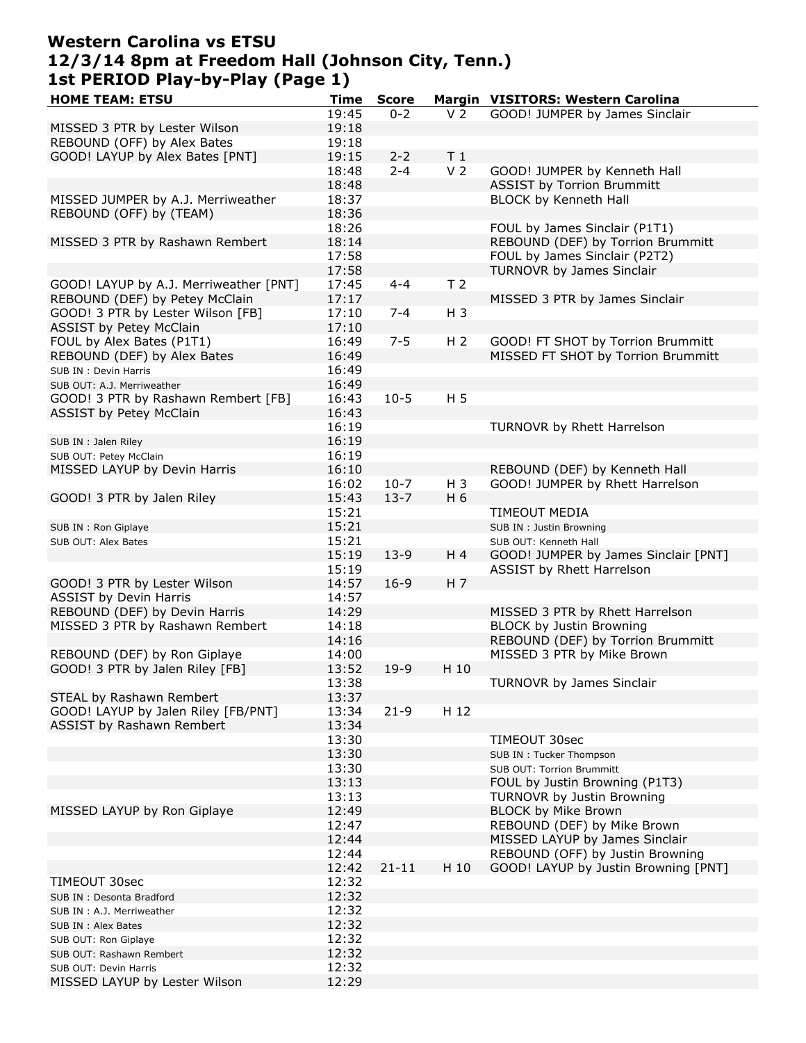## **Western Carolina vs ETSU 12/3/14 8pm at Freedom Hall (Johnson City, Tenn.) 1st PERIOD Play-by-Play (Page 1)**

| <b>HOME TEAM: ETSU</b>                 | Time  | <b>Score</b> |                | Margin VISITORS: Western Carolina    |
|----------------------------------------|-------|--------------|----------------|--------------------------------------|
|                                        | 19:45 | $0 - 2$      | V <sub>2</sub> | GOOD! JUMPER by James Sinclair       |
| MISSED 3 PTR by Lester Wilson          | 19:18 |              |                |                                      |
| REBOUND (OFF) by Alex Bates            | 19:18 |              |                |                                      |
| GOOD! LAYUP by Alex Bates [PNT]        | 19:15 | $2 - 2$      | T <sub>1</sub> |                                      |
|                                        | 18:48 | $2 - 4$      | V <sub>2</sub> | GOOD! JUMPER by Kenneth Hall         |
|                                        | 18:48 |              |                | <b>ASSIST by Torrion Brummitt</b>    |
|                                        |       |              |                |                                      |
| MISSED JUMPER by A.J. Merriweather     | 18:37 |              |                | BLOCK by Kenneth Hall                |
| REBOUND (OFF) by (TEAM)                | 18:36 |              |                |                                      |
|                                        | 18:26 |              |                | FOUL by James Sinclair (P1T1)        |
| MISSED 3 PTR by Rashawn Rembert        | 18:14 |              |                | REBOUND (DEF) by Torrion Brummitt    |
|                                        | 17:58 |              |                | FOUL by James Sinclair (P2T2)        |
|                                        | 17:58 |              |                | TURNOVR by James Sinclair            |
| GOOD! LAYUP by A.J. Merriweather [PNT] | 17:45 | $4 - 4$      | T <sub>2</sub> |                                      |
| REBOUND (DEF) by Petey McClain         | 17:17 |              |                | MISSED 3 PTR by James Sinclair       |
| GOOD! 3 PTR by Lester Wilson [FB]      | 17:10 | $7 - 4$      | $H_3$          |                                      |
| <b>ASSIST by Petey McClain</b>         | 17:10 |              |                |                                      |
| FOUL by Alex Bates (P1T1)              | 16:49 | $7 - 5$      | H <sub>2</sub> | GOOD! FT SHOT by Torrion Brummitt    |
|                                        |       |              |                |                                      |
| REBOUND (DEF) by Alex Bates            | 16:49 |              |                | MISSED FT SHOT by Torrion Brummitt   |
| SUB IN : Devin Harris                  | 16:49 |              |                |                                      |
| SUB OUT: A.J. Merriweather             | 16:49 |              |                |                                      |
| GOOD! 3 PTR by Rashawn Rembert [FB]    | 16:43 | $10-5$       | H <sub>5</sub> |                                      |
| <b>ASSIST by Petey McClain</b>         | 16:43 |              |                |                                      |
|                                        | 16:19 |              |                | TURNOVR by Rhett Harrelson           |
| SUB IN : Jalen Riley                   | 16:19 |              |                |                                      |
| SUB OUT: Petey McClain                 | 16:19 |              |                |                                      |
| MISSED LAYUP by Devin Harris           | 16:10 |              |                | REBOUND (DEF) by Kenneth Hall        |
|                                        | 16:02 | $10-7$       | $H_3$          | GOOD! JUMPER by Rhett Harrelson      |
|                                        |       |              | H 6            |                                      |
| GOOD! 3 PTR by Jalen Riley             | 15:43 | $13 - 7$     |                |                                      |
|                                        | 15:21 |              |                | <b>TIMEOUT MEDIA</b>                 |
| SUB IN : Ron Giplaye                   | 15:21 |              |                | SUB IN : Justin Browning             |
| SUB OUT: Alex Bates                    | 15:21 |              |                | SUB OUT: Kenneth Hall                |
|                                        | 15:19 | $13-9$       | H 4            | GOOD! JUMPER by James Sinclair [PNT] |
|                                        | 15:19 |              |                | ASSIST by Rhett Harrelson            |
| GOOD! 3 PTR by Lester Wilson           | 14:57 | $16-9$       | H <sub>7</sub> |                                      |
| <b>ASSIST by Devin Harris</b>          | 14:57 |              |                |                                      |
| REBOUND (DEF) by Devin Harris          | 14:29 |              |                | MISSED 3 PTR by Rhett Harrelson      |
| MISSED 3 PTR by Rashawn Rembert        | 14:18 |              |                | <b>BLOCK by Justin Browning</b>      |
|                                        | 14:16 |              |                | REBOUND (DEF) by Torrion Brummitt    |
| REBOUND (DEF) by Ron Giplaye           | 14:00 |              |                | MISSED 3 PTR by Mike Brown           |
| GOOD! 3 PTR by Jalen Riley [FB]        | 13:52 | $19-9$       | H 10           |                                      |
|                                        | 13:38 |              |                | TURNOVR by James Sinclair            |
| STEAL by Rashawn Rembert               | 13:37 |              |                |                                      |
| GOOD! LAYUP by Jalen Riley [FB/PNT]    | 13:34 | $21 - 9$     | H 12           |                                      |
| <b>ASSIST by Rashawn Rembert</b>       | 13:34 |              |                |                                      |
|                                        | 13:30 |              |                | TIMEOUT 30sec                        |
|                                        | 13:30 |              |                | SUB IN: Tucker Thompson              |
|                                        | 13:30 |              |                | SUB OUT: Torrion Brummitt            |
|                                        |       |              |                |                                      |
|                                        | 13:13 |              |                | FOUL by Justin Browning (P1T3)       |
|                                        | 13:13 |              |                | TURNOVR by Justin Browning           |
| MISSED LAYUP by Ron Giplaye            | 12:49 |              |                | <b>BLOCK by Mike Brown</b>           |
|                                        | 12:47 |              |                | REBOUND (DEF) by Mike Brown          |
|                                        | 12:44 |              |                | MISSED LAYUP by James Sinclair       |
|                                        | 12:44 |              |                | REBOUND (OFF) by Justin Browning     |
|                                        | 12:42 | $21 - 11$    | H 10           | GOOD! LAYUP by Justin Browning [PNT] |
| TIMEOUT 30sec                          | 12:32 |              |                |                                      |
| SUB IN : Desonta Bradford              | 12:32 |              |                |                                      |
| SUB IN : A.J. Merriweather             | 12:32 |              |                |                                      |
| SUB IN : Alex Bates                    | 12:32 |              |                |                                      |
| SUB OUT: Ron Giplaye                   | 12:32 |              |                |                                      |
| SUB OUT: Rashawn Rembert               | 12:32 |              |                |                                      |
| SUB OUT: Devin Harris                  | 12:32 |              |                |                                      |
| MISSED LAYUP by Lester Wilson          | 12:29 |              |                |                                      |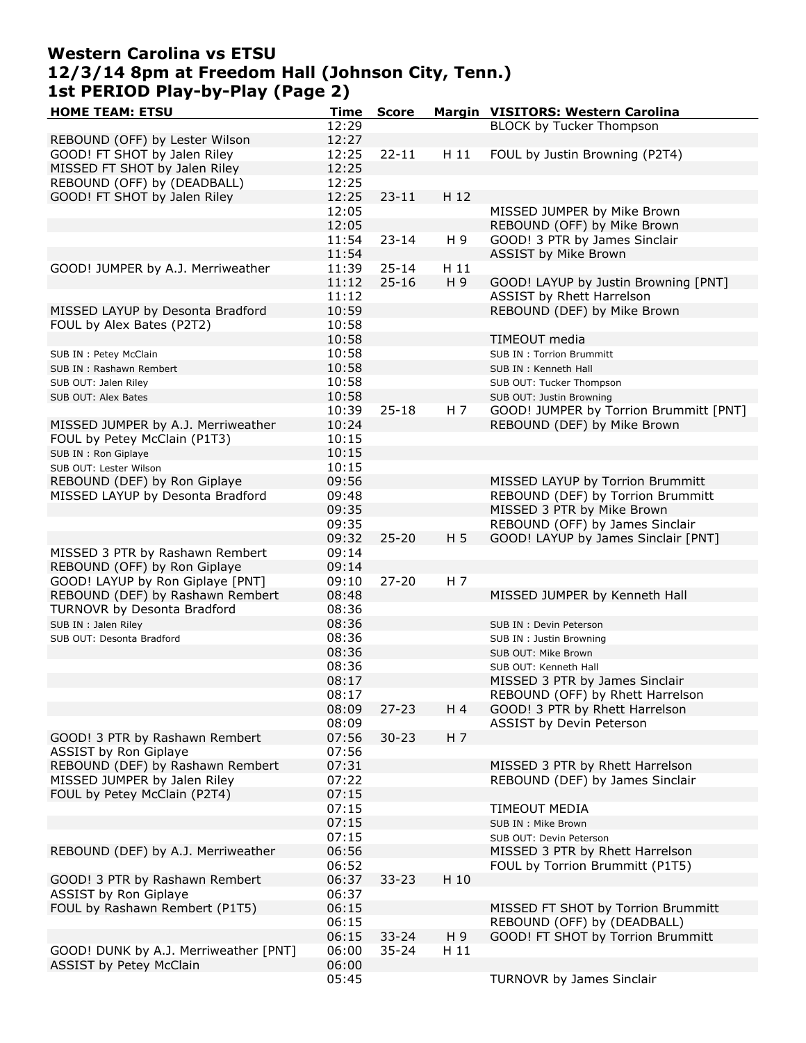### **Western Carolina vs ETSU 12/3/14 8pm at Freedom Hall (Johnson City, Tenn.) 1st PERIOD Play-by-Play (Page 2)**

| <b>HOME TEAM: ETSU</b>                | <b>Time</b> | <b>Score</b> |                | Margin VISITORS: Western Carolina      |
|---------------------------------------|-------------|--------------|----------------|----------------------------------------|
|                                       | 12:29       |              |                | <b>BLOCK by Tucker Thompson</b>        |
| REBOUND (OFF) by Lester Wilson        | 12:27       |              |                |                                        |
| GOOD! FT SHOT by Jalen Riley          | 12:25       | $22 - 11$    | H 11           | FOUL by Justin Browning (P2T4)         |
|                                       |             |              |                |                                        |
| MISSED FT SHOT by Jalen Riley         | 12:25       |              |                |                                        |
| REBOUND (OFF) by (DEADBALL)           | 12:25       |              |                |                                        |
| GOOD! FT SHOT by Jalen Riley          | 12:25       | $23 - 11$    | H 12           |                                        |
|                                       | 12:05       |              |                | MISSED JUMPER by Mike Brown            |
|                                       | 12:05       |              |                | REBOUND (OFF) by Mike Brown            |
|                                       | 11:54       | $23 - 14$    | H 9            | GOOD! 3 PTR by James Sinclair          |
|                                       | 11:54       |              |                | <b>ASSIST by Mike Brown</b>            |
| GOOD! JUMPER by A.J. Merriweather     |             |              | H 11           |                                        |
|                                       | 11:39       | $25 - 14$    |                |                                        |
|                                       | 11:12       | $25 - 16$    | H 9            | GOOD! LAYUP by Justin Browning [PNT]   |
|                                       | 11:12       |              |                | ASSIST by Rhett Harrelson              |
| MISSED LAYUP by Desonta Bradford      | 10:59       |              |                | REBOUND (DEF) by Mike Brown            |
| FOUL by Alex Bates (P2T2)             | 10:58       |              |                |                                        |
|                                       | 10:58       |              |                | TIMEOUT media                          |
| SUB IN : Petey McClain                | 10:58       |              |                | <b>SUB IN: Torrion Brummitt</b>        |
|                                       | 10:58       |              |                |                                        |
| SUB IN: Rashawn Rembert               | 10:58       |              |                | SUB IN : Kenneth Hall                  |
| SUB OUT: Jalen Riley                  |             |              |                | SUB OUT: Tucker Thompson               |
| SUB OUT: Alex Bates                   | 10:58       |              |                | SUB OUT: Justin Browning               |
|                                       | 10:39       | $25 - 18$    | H 7            | GOOD! JUMPER by Torrion Brummitt [PNT] |
| MISSED JUMPER by A.J. Merriweather    | 10:24       |              |                | REBOUND (DEF) by Mike Brown            |
| FOUL by Petey McClain (P1T3)          | 10:15       |              |                |                                        |
| SUB IN: Ron Giplaye                   | 10:15       |              |                |                                        |
| SUB OUT: Lester Wilson                | 10:15       |              |                |                                        |
|                                       | 09:56       |              |                |                                        |
| REBOUND (DEF) by Ron Giplaye          |             |              |                | MISSED LAYUP by Torrion Brummitt       |
| MISSED LAYUP by Desonta Bradford      | 09:48       |              |                | REBOUND (DEF) by Torrion Brummitt      |
|                                       | 09:35       |              |                | MISSED 3 PTR by Mike Brown             |
|                                       | 09:35       |              |                | REBOUND (OFF) by James Sinclair        |
|                                       | 09:32       | $25 - 20$    | H <sub>5</sub> | GOOD! LAYUP by James Sinclair [PNT]    |
| MISSED 3 PTR by Rashawn Rembert       | 09:14       |              |                |                                        |
| REBOUND (OFF) by Ron Giplaye          | 09:14       |              |                |                                        |
| GOOD! LAYUP by Ron Giplaye [PNT]      | 09:10       | $27 - 20$    | H 7            |                                        |
|                                       |             |              |                |                                        |
| REBOUND (DEF) by Rashawn Rembert      | 08:48       |              |                | MISSED JUMPER by Kenneth Hall          |
| TURNOVR by Desonta Bradford           | 08:36       |              |                |                                        |
| SUB IN : Jalen Riley                  | 08:36       |              |                | SUB IN : Devin Peterson                |
| SUB OUT: Desonta Bradford             | 08:36       |              |                | SUB IN: Justin Browning                |
|                                       | 08:36       |              |                | SUB OUT: Mike Brown                    |
|                                       | 08:36       |              |                | SUB OUT: Kenneth Hall                  |
|                                       | 08:17       |              |                | MISSED 3 PTR by James Sinclair         |
|                                       | 08:17       |              |                | REBOUND (OFF) by Rhett Harrelson       |
|                                       | 08:09       | $27 - 23$    | H 4            | GOOD! 3 PTR by Rhett Harrelson         |
|                                       |             |              |                |                                        |
|                                       | 08:09       |              |                | ASSIST by Devin Peterson               |
| GOOD! 3 PTR by Rashawn Rembert        | 07:56       | $30 - 23$    | H <sub>7</sub> |                                        |
| <b>ASSIST by Ron Giplaye</b>          | 07:56       |              |                |                                        |
| REBOUND (DEF) by Rashawn Rembert      | 07:31       |              |                | MISSED 3 PTR by Rhett Harrelson        |
| MISSED JUMPER by Jalen Riley          | 07:22       |              |                | REBOUND (DEF) by James Sinclair        |
| FOUL by Petey McClain (P2T4)          | 07:15       |              |                |                                        |
|                                       | 07:15       |              |                | TIMEOUT MEDIA                          |
|                                       | 07:15       |              |                |                                        |
|                                       |             |              |                | SUB IN : Mike Brown                    |
|                                       | 07:15       |              |                | SUB OUT: Devin Peterson                |
| REBOUND (DEF) by A.J. Merriweather    | 06:56       |              |                | MISSED 3 PTR by Rhett Harrelson        |
|                                       | 06:52       |              |                | FOUL by Torrion Brummitt (P1T5)        |
| GOOD! 3 PTR by Rashawn Rembert        | 06:37       | $33 - 23$    | H 10           |                                        |
| <b>ASSIST by Ron Giplaye</b>          | 06:37       |              |                |                                        |
| FOUL by Rashawn Rembert (P1T5)        | 06:15       |              |                | MISSED FT SHOT by Torrion Brummitt     |
|                                       | 06:15       |              |                | REBOUND (OFF) by (DEADBALL)            |
|                                       |             |              |                |                                        |
|                                       | 06:15       | $33 - 24$    | H 9            | GOOD! FT SHOT by Torrion Brummitt      |
| GOOD! DUNK by A.J. Merriweather [PNT] | 06:00       | $35 - 24$    | H 11           |                                        |
| ASSIST by Petey McClain               | 06:00       |              |                |                                        |
|                                       | 05:45       |              |                | TURNOVR by James Sinclair              |
|                                       |             |              |                |                                        |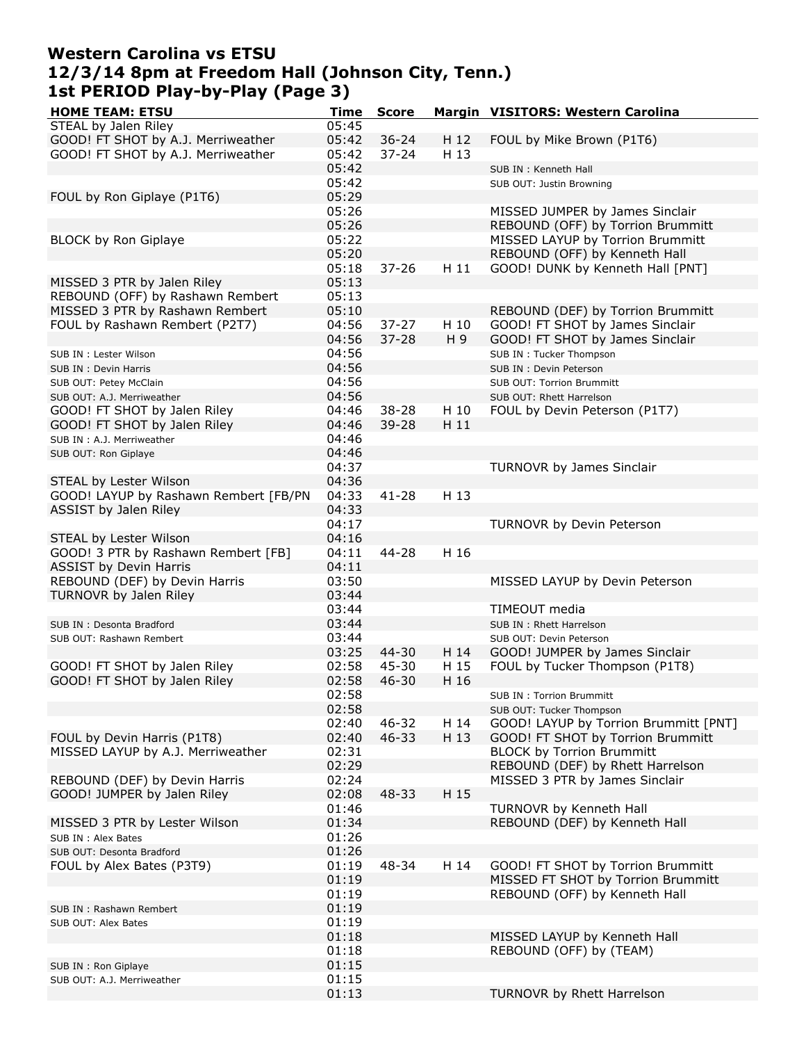### **Western Carolina vs ETSU 12/3/14 8pm at Freedom Hall (Johnson City, Tenn.) 1st PERIOD Play-by-Play (Page 3)**

| <b>HOME TEAM: ETSU</b>                | Time  | <b>Score</b> |      | Margin VISITORS: Western Carolina     |
|---------------------------------------|-------|--------------|------|---------------------------------------|
| STEAL by Jalen Riley                  | 05:45 |              |      |                                       |
| GOOD! FT SHOT by A.J. Merriweather    | 05:42 | $36 - 24$    | H 12 | FOUL by Mike Brown (P1T6)             |
|                                       |       |              |      |                                       |
| GOOD! FT SHOT by A.J. Merriweather    | 05:42 | $37 - 24$    | H 13 |                                       |
|                                       | 05:42 |              |      | SUB IN: Kenneth Hall                  |
|                                       | 05:42 |              |      | SUB OUT: Justin Browning              |
| FOUL by Ron Giplaye (P1T6)            | 05:29 |              |      |                                       |
|                                       | 05:26 |              |      | MISSED JUMPER by James Sinclair       |
|                                       |       |              |      |                                       |
|                                       | 05:26 |              |      | REBOUND (OFF) by Torrion Brummitt     |
| BLOCK by Ron Giplaye                  | 05:22 |              |      | MISSED LAYUP by Torrion Brummitt      |
|                                       | 05:20 |              |      | REBOUND (OFF) by Kenneth Hall         |
|                                       | 05:18 | $37 - 26$    | H 11 | GOOD! DUNK by Kenneth Hall [PNT]      |
| MISSED 3 PTR by Jalen Riley           | 05:13 |              |      |                                       |
|                                       |       |              |      |                                       |
| REBOUND (OFF) by Rashawn Rembert      | 05:13 |              |      |                                       |
| MISSED 3 PTR by Rashawn Rembert       | 05:10 |              |      | REBOUND (DEF) by Torrion Brummitt     |
| FOUL by Rashawn Rembert (P2T7)        | 04:56 | $37 - 27$    | H 10 | GOOD! FT SHOT by James Sinclair       |
|                                       | 04:56 | $37 - 28$    | H 9  | GOOD! FT SHOT by James Sinclair       |
|                                       | 04:56 |              |      |                                       |
| SUB IN : Lester Wilson                |       |              |      | SUB IN: Tucker Thompson               |
| SUB IN : Devin Harris                 | 04:56 |              |      | SUB IN : Devin Peterson               |
| SUB OUT: Petey McClain                | 04:56 |              |      | <b>SUB OUT: Torrion Brummitt</b>      |
| SUB OUT: A.J. Merriweather            | 04:56 |              |      | SUB OUT: Rhett Harrelson              |
| GOOD! FT SHOT by Jalen Riley          | 04:46 | 38-28        | H 10 | FOUL by Devin Peterson (P1T7)         |
|                                       |       |              |      |                                       |
| GOOD! FT SHOT by Jalen Riley          | 04:46 | 39-28        | H 11 |                                       |
| SUB IN : A.J. Merriweather            | 04:46 |              |      |                                       |
| SUB OUT: Ron Giplaye                  | 04:46 |              |      |                                       |
|                                       | 04:37 |              |      | TURNOVR by James Sinclair             |
| STEAL by Lester Wilson                | 04:36 |              |      |                                       |
|                                       |       |              |      |                                       |
| GOOD! LAYUP by Rashawn Rembert [FB/PN | 04:33 | $41 - 28$    | H 13 |                                       |
| ASSIST by Jalen Riley                 | 04:33 |              |      |                                       |
|                                       | 04:17 |              |      | TURNOVR by Devin Peterson             |
| STEAL by Lester Wilson                | 04:16 |              |      |                                       |
| GOOD! 3 PTR by Rashawn Rembert [FB]   | 04:11 | 44-28        | H 16 |                                       |
|                                       |       |              |      |                                       |
| <b>ASSIST by Devin Harris</b>         | 04:11 |              |      |                                       |
| REBOUND (DEF) by Devin Harris         | 03:50 |              |      | MISSED LAYUP by Devin Peterson        |
| TURNOVR by Jalen Riley                | 03:44 |              |      |                                       |
|                                       | 03:44 |              |      | TIMEOUT media                         |
| SUB IN: Desonta Bradford              | 03:44 |              |      | SUB IN: Rhett Harrelson               |
|                                       |       |              |      |                                       |
| SUB OUT: Rashawn Rembert              | 03:44 |              |      | SUB OUT: Devin Peterson               |
|                                       | 03:25 | 44-30        | H 14 | GOOD! JUMPER by James Sinclair        |
| GOOD! FT SHOT by Jalen Riley          | 02:58 | 45-30        | H 15 | FOUL by Tucker Thompson (P1T8)        |
| GOOD! FT SHOT by Jalen Riley          | 02:58 | $46 - 30$    | H 16 |                                       |
|                                       | 02:58 |              |      | SUB IN : Torrion Brummitt             |
|                                       |       |              |      |                                       |
|                                       | 02:58 |              |      | SUB OUT: Tucker Thompson              |
|                                       | 02:40 | 46-32        | H 14 | GOOD! LAYUP by Torrion Brummitt [PNT] |
| FOUL by Devin Harris (P1T8)           | 02:40 | 46-33        | H 13 | GOOD! FT SHOT by Torrion Brummitt     |
| MISSED LAYUP by A.J. Merriweather     | 02:31 |              |      | <b>BLOCK by Torrion Brummitt</b>      |
|                                       | 02:29 |              |      | REBOUND (DEF) by Rhett Harrelson      |
|                                       |       |              |      |                                       |
| REBOUND (DEF) by Devin Harris         | 02:24 |              |      | MISSED 3 PTR by James Sinclair        |
| GOOD! JUMPER by Jalen Riley           | 02:08 | 48-33        | H 15 |                                       |
|                                       | 01:46 |              |      | TURNOVR by Kenneth Hall               |
| MISSED 3 PTR by Lester Wilson         | 01:34 |              |      | REBOUND (DEF) by Kenneth Hall         |
|                                       | 01:26 |              |      |                                       |
| SUB IN : Alex Bates                   |       |              |      |                                       |
| SUB OUT: Desonta Bradford             | 01:26 |              |      |                                       |
| FOUL by Alex Bates (P3T9)             | 01:19 | 48-34        | H 14 | GOOD! FT SHOT by Torrion Brummitt     |
|                                       | 01:19 |              |      | MISSED FT SHOT by Torrion Brummitt    |
|                                       | 01:19 |              |      | REBOUND (OFF) by Kenneth Hall         |
|                                       | 01:19 |              |      |                                       |
| SUB IN: Rashawn Rembert               |       |              |      |                                       |
| SUB OUT: Alex Bates                   | 01:19 |              |      |                                       |
|                                       | 01:18 |              |      | MISSED LAYUP by Kenneth Hall          |
|                                       | 01:18 |              |      | REBOUND (OFF) by (TEAM)               |
| SUB IN : Ron Giplaye                  | 01:15 |              |      |                                       |
|                                       |       |              |      |                                       |
| SUB OUT: A.J. Merriweather            | 01:15 |              |      |                                       |
|                                       | 01:13 |              |      | TURNOVR by Rhett Harrelson            |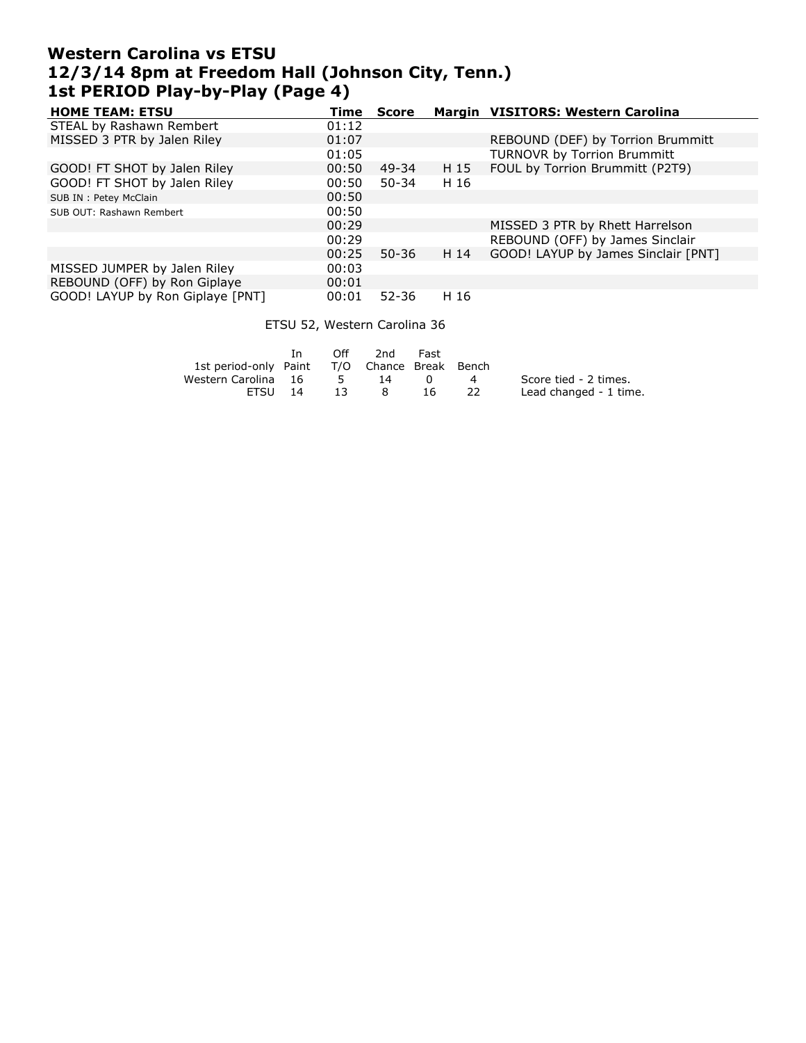## **Western Carolina vs ETSU 12/3/14 8pm at Freedom Hall (Johnson City, Tenn.) 1st PERIOD Play-by-Play (Page 4)**

| <b>HOME TEAM: ETSU</b>           | Time  | <b>Score</b> |      | Margin VISITORS: Western Carolina   |
|----------------------------------|-------|--------------|------|-------------------------------------|
| STEAL by Rashawn Rembert         | 01:12 |              |      |                                     |
| MISSED 3 PTR by Jalen Riley      | 01:07 |              |      | REBOUND (DEF) by Torrion Brummitt   |
|                                  | 01:05 |              |      | <b>TURNOVR by Torrion Brummitt</b>  |
| GOOD! FT SHOT by Jalen Riley     | 00:50 | 49-34        | H 15 | FOUL by Torrion Brummitt (P2T9)     |
| GOOD! FT SHOT by Jalen Riley     | 00:50 | $50 - 34$    | H 16 |                                     |
| SUB IN : Petey McClain           | 00:50 |              |      |                                     |
| SUB OUT: Rashawn Rembert         | 00:50 |              |      |                                     |
|                                  | 00:29 |              |      | MISSED 3 PTR by Rhett Harrelson     |
|                                  | 00:29 |              |      | REBOUND (OFF) by James Sinclair     |
|                                  | 00:25 | $50 - 36$    | H 14 | GOOD! LAYUP by James Sinclair [PNT] |
| MISSED JUMPER by Jalen Riley     | 00:03 |              |      |                                     |
| REBOUND (OFF) by Ron Giplaye     | 00:01 |              |      |                                     |
| GOOD! LAYUP by Ron Giplaye [PNT] | 00:01 | $52 - 36$    | H 16 |                                     |

#### ETSU 52, Western Carolina 36

| - In    | Off |                     |             |          |                                                          |
|---------|-----|---------------------|-------------|----------|----------------------------------------------------------|
|         |     |                     |             |          |                                                          |
|         |     | 14                  | 0           |          | Score tied - 2 times.                                    |
| FTSU 14 | -13 | 8                   | 16.         | - 22     | Lead changed - 1 time.                                   |
|         |     | Western Carolina 16 | $5^{\circ}$ | 2nd Fast | 1st period-only Paint T/O Chance Break Bench<br>$\sim$ 4 |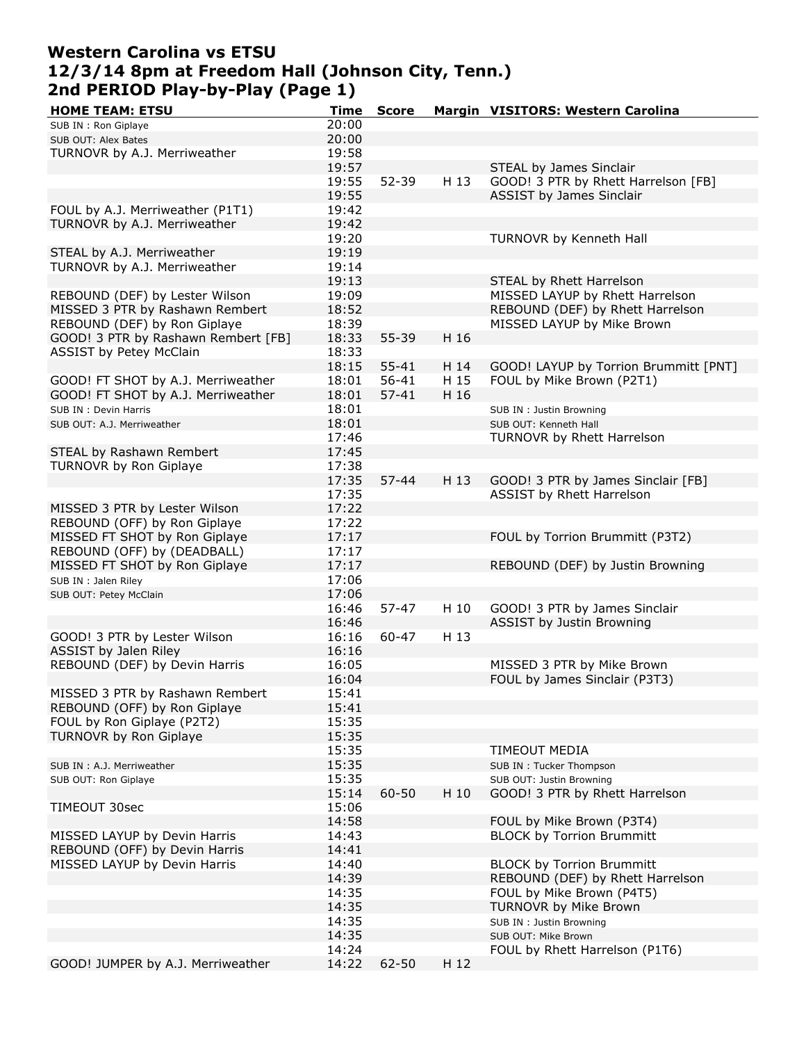## **Western Carolina vs ETSU 12/3/14 8pm at Freedom Hall (Johnson City, Tenn.) 2nd PERIOD Play-by-Play (Page 1)**

| <b>HOME TEAM: ETSU</b>              | Time  | <b>Score</b> |      | Margin VISITORS: Western Carolina     |
|-------------------------------------|-------|--------------|------|---------------------------------------|
| SUB IN : Ron Giplaye                | 20:00 |              |      |                                       |
| SUB OUT: Alex Bates                 | 20:00 |              |      |                                       |
| TURNOVR by A.J. Merriweather        | 19:58 |              |      |                                       |
|                                     | 19:57 |              |      | STEAL by James Sinclair               |
|                                     | 19:55 | 52-39        | H 13 | GOOD! 3 PTR by Rhett Harrelson [FB]   |
|                                     | 19:55 |              |      | ASSIST by James Sinclair              |
| FOUL by A.J. Merriweather (P1T1)    | 19:42 |              |      |                                       |
| TURNOVR by A.J. Merriweather        | 19:42 |              |      |                                       |
|                                     | 19:20 |              |      | TURNOVR by Kenneth Hall               |
| STEAL by A.J. Merriweather          | 19:19 |              |      |                                       |
| TURNOVR by A.J. Merriweather        | 19:14 |              |      |                                       |
|                                     | 19:13 |              |      | STEAL by Rhett Harrelson              |
| REBOUND (DEF) by Lester Wilson      | 19:09 |              |      | MISSED LAYUP by Rhett Harrelson       |
| MISSED 3 PTR by Rashawn Rembert     | 18:52 |              |      | REBOUND (DEF) by Rhett Harrelson      |
| REBOUND (DEF) by Ron Giplaye        | 18:39 |              |      | MISSED LAYUP by Mike Brown            |
| GOOD! 3 PTR by Rashawn Rembert [FB] | 18:33 | 55-39        | H 16 |                                       |
| <b>ASSIST by Petey McClain</b>      | 18:33 |              |      |                                       |
|                                     | 18:15 | $55 - 41$    | H 14 | GOOD! LAYUP by Torrion Brummitt [PNT] |
| GOOD! FT SHOT by A.J. Merriweather  | 18:01 | $56 - 41$    | H 15 | FOUL by Mike Brown (P2T1)             |
| GOOD! FT SHOT by A.J. Merriweather  | 18:01 | $57 - 41$    | H 16 |                                       |
| SUB IN : Devin Harris               | 18:01 |              |      | SUB IN : Justin Browning              |
| SUB OUT: A.J. Merriweather          | 18:01 |              |      | SUB OUT: Kenneth Hall                 |
|                                     | 17:46 |              |      | TURNOVR by Rhett Harrelson            |
| STEAL by Rashawn Rembert            | 17:45 |              |      |                                       |
| TURNOVR by Ron Giplaye              | 17:38 |              |      |                                       |
|                                     | 17:35 | $57 - 44$    | H 13 | GOOD! 3 PTR by James Sinclair [FB]    |
|                                     | 17:35 |              |      | ASSIST by Rhett Harrelson             |
| MISSED 3 PTR by Lester Wilson       | 17:22 |              |      |                                       |
| REBOUND (OFF) by Ron Giplaye        | 17:22 |              |      |                                       |
| MISSED FT SHOT by Ron Giplaye       | 17:17 |              |      | FOUL by Torrion Brummitt (P3T2)       |
| REBOUND (OFF) by (DEADBALL)         | 17:17 |              |      |                                       |
| MISSED FT SHOT by Ron Giplaye       | 17:17 |              |      | REBOUND (DEF) by Justin Browning      |
| SUB IN : Jalen Riley                | 17:06 |              |      |                                       |
|                                     | 17:06 |              |      |                                       |
| SUB OUT: Petey McClain              | 16:46 | $57 - 47$    | H 10 | GOOD! 3 PTR by James Sinclair         |
|                                     | 16:46 |              |      | <b>ASSIST by Justin Browning</b>      |
| GOOD! 3 PTR by Lester Wilson        | 16:16 | $60 - 47$    | H 13 |                                       |
| ASSIST by Jalen Riley               |       |              |      |                                       |
| REBOUND (DEF) by Devin Harris       | 16:16 |              |      |                                       |
|                                     | 16:05 |              |      | MISSED 3 PTR by Mike Brown            |
|                                     | 16:04 |              |      | FOUL by James Sinclair (P3T3)         |
| MISSED 3 PTR by Rashawn Rembert     | 15:41 |              |      |                                       |
| REBOUND (OFF) by Ron Giplaye        | 15:41 |              |      |                                       |
| FOUL by Ron Giplaye (P2T2)          | 15:35 |              |      |                                       |
| TURNOVR by Ron Giplaye              | 15:35 |              |      |                                       |
|                                     | 15:35 |              |      | TIMEOUT MEDIA                         |
| SUB IN: A.J. Merriweather           | 15:35 |              |      | SUB IN: Tucker Thompson               |
| SUB OUT: Ron Giplaye                | 15:35 |              |      | SUB OUT: Justin Browning              |
|                                     | 15:14 | $60 - 50$    | H 10 | GOOD! 3 PTR by Rhett Harrelson        |
| TIMEOUT 30sec                       | 15:06 |              |      |                                       |
|                                     | 14:58 |              |      | FOUL by Mike Brown (P3T4)             |
| MISSED LAYUP by Devin Harris        | 14:43 |              |      | <b>BLOCK by Torrion Brummitt</b>      |
| REBOUND (OFF) by Devin Harris       | 14:41 |              |      |                                       |
| MISSED LAYUP by Devin Harris        | 14:40 |              |      | <b>BLOCK by Torrion Brummitt</b>      |
|                                     | 14:39 |              |      | REBOUND (DEF) by Rhett Harrelson      |
|                                     | 14:35 |              |      | FOUL by Mike Brown (P4T5)             |
|                                     | 14:35 |              |      | TURNOVR by Mike Brown                 |
|                                     | 14:35 |              |      | SUB IN : Justin Browning              |
|                                     | 14:35 |              |      | SUB OUT: Mike Brown                   |
|                                     | 14:24 |              |      | FOUL by Rhett Harrelson (P1T6)        |
| GOOD! JUMPER by A.J. Merriweather   | 14:22 | 62-50        | H 12 |                                       |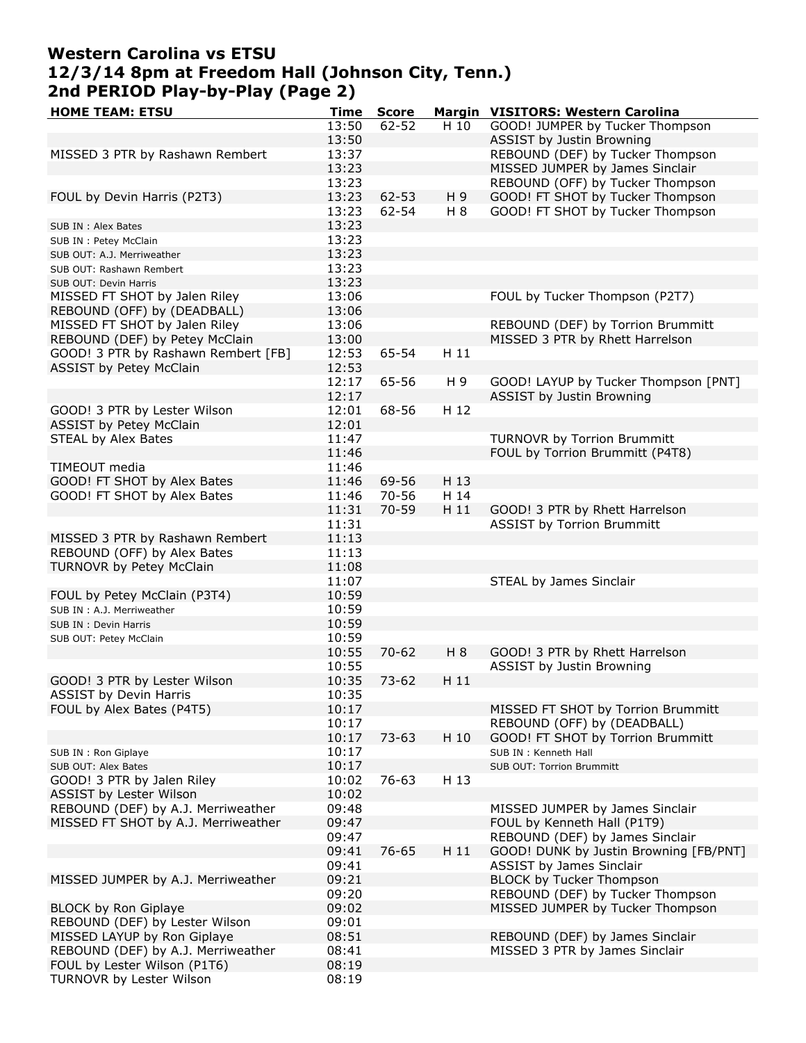# **Western Carolina vs ETSU 12/3/14 8pm at Freedom Hall (Johnson City, Tenn.) 2nd PERIOD Play-by-Play (Page 2)**

| <b>HOME TEAM: ETSU</b>              | Time  | <b>Score</b> |       | Margin VISITORS: Western Carolina      |
|-------------------------------------|-------|--------------|-------|----------------------------------------|
|                                     | 13:50 | $62 - 52$    | H 10  | GOOD! JUMPER by Tucker Thompson        |
|                                     | 13:50 |              |       | <b>ASSIST by Justin Browning</b>       |
| MISSED 3 PTR by Rashawn Rembert     | 13:37 |              |       | REBOUND (DEF) by Tucker Thompson       |
|                                     | 13:23 |              |       | MISSED JUMPER by James Sinclair        |
|                                     | 13:23 |              |       | REBOUND (OFF) by Tucker Thompson       |
| FOUL by Devin Harris (P2T3)         | 13:23 | $62 - 53$    | H 9   | GOOD! FT SHOT by Tucker Thompson       |
|                                     | 13:23 | 62-54        | H 8   | GOOD! FT SHOT by Tucker Thompson       |
|                                     | 13:23 |              |       |                                        |
| SUB IN : Alex Bates                 |       |              |       |                                        |
| SUB IN : Petey McClain              | 13:23 |              |       |                                        |
| SUB OUT: A.J. Merriweather          | 13:23 |              |       |                                        |
| SUB OUT: Rashawn Rembert            | 13:23 |              |       |                                        |
| SUB OUT: Devin Harris               | 13:23 |              |       |                                        |
| MISSED FT SHOT by Jalen Riley       | 13:06 |              |       | FOUL by Tucker Thompson (P2T7)         |
| REBOUND (OFF) by (DEADBALL)         | 13:06 |              |       |                                        |
| MISSED FT SHOT by Jalen Riley       | 13:06 |              |       | REBOUND (DEF) by Torrion Brummitt      |
| REBOUND (DEF) by Petey McClain      | 13:00 |              |       | MISSED 3 PTR by Rhett Harrelson        |
| GOOD! 3 PTR by Rashawn Rembert [FB] | 12:53 | 65-54        | H 11  |                                        |
| <b>ASSIST by Petey McClain</b>      | 12:53 |              |       |                                        |
|                                     | 12:17 | 65-56        | H 9   | GOOD! LAYUP by Tucker Thompson [PNT]   |
|                                     | 12:17 |              |       | <b>ASSIST by Justin Browning</b>       |
| GOOD! 3 PTR by Lester Wilson        |       | 68-56        | H 12  |                                        |
|                                     | 12:01 |              |       |                                        |
| ASSIST by Petey McClain             | 12:01 |              |       |                                        |
| STEAL by Alex Bates                 | 11:47 |              |       | TURNOVR by Torrion Brummitt            |
|                                     | 11:46 |              |       | FOUL by Torrion Brummitt (P4T8)        |
| TIMEOUT media                       | 11:46 |              |       |                                        |
| GOOD! FT SHOT by Alex Bates         | 11:46 | 69-56        | H 13  |                                        |
| GOOD! FT SHOT by Alex Bates         | 11:46 | $70 - 56$    | H 14  |                                        |
|                                     | 11:31 | 70-59        | H 11  | GOOD! 3 PTR by Rhett Harrelson         |
|                                     | 11:31 |              |       | <b>ASSIST by Torrion Brummitt</b>      |
| MISSED 3 PTR by Rashawn Rembert     | 11:13 |              |       |                                        |
| REBOUND (OFF) by Alex Bates         | 11:13 |              |       |                                        |
| TURNOVR by Petey McClain            | 11:08 |              |       |                                        |
|                                     | 11:07 |              |       |                                        |
|                                     |       |              |       | STEAL by James Sinclair                |
| FOUL by Petey McClain (P3T4)        | 10:59 |              |       |                                        |
| SUB IN : A.J. Merriweather          | 10:59 |              |       |                                        |
| SUB IN : Devin Harris               | 10:59 |              |       |                                        |
| SUB OUT: Petey McClain              | 10:59 |              |       |                                        |
|                                     | 10:55 | $70 - 62$    | $H_8$ | GOOD! 3 PTR by Rhett Harrelson         |
|                                     | 10:55 |              |       | <b>ASSIST by Justin Browning</b>       |
| GOOD! 3 PTR by Lester Wilson        | 10:35 | $73 - 62$    | H 11  |                                        |
| <b>ASSIST by Devin Harris</b>       | 10:35 |              |       |                                        |
| FOUL by Alex Bates (P4T5)           | 10:17 |              |       | MISSED FT SHOT by Torrion Brummitt     |
|                                     | 10:17 |              |       | REBOUND (OFF) by (DEADBALL)            |
|                                     | 10:17 | $73 - 63$    | H 10  | GOOD! FT SHOT by Torrion Brummitt      |
| SUB IN : Ron Giplaye                | 10:17 |              |       | SUB IN : Kenneth Hall                  |
| SUB OUT: Alex Bates                 | 10:17 |              |       | <b>SUB OUT: Torrion Brummitt</b>       |
| GOOD! 3 PTR by Jalen Riley          | 10:02 | 76-63        | H 13  |                                        |
|                                     |       |              |       |                                        |
| ASSIST by Lester Wilson             | 10:02 |              |       |                                        |
| REBOUND (DEF) by A.J. Merriweather  | 09:48 |              |       | MISSED JUMPER by James Sinclair        |
| MISSED FT SHOT by A.J. Merriweather | 09:47 |              |       | FOUL by Kenneth Hall (P1T9)            |
|                                     | 09:47 |              |       | REBOUND (DEF) by James Sinclair        |
|                                     | 09:41 | 76-65        | H 11  | GOOD! DUNK by Justin Browning [FB/PNT] |
|                                     | 09:41 |              |       | ASSIST by James Sinclair               |
| MISSED JUMPER by A.J. Merriweather  | 09:21 |              |       | BLOCK by Tucker Thompson               |
|                                     | 09:20 |              |       | REBOUND (DEF) by Tucker Thompson       |
| <b>BLOCK by Ron Giplaye</b>         | 09:02 |              |       | MISSED JUMPER by Tucker Thompson       |
| REBOUND (DEF) by Lester Wilson      | 09:01 |              |       |                                        |
| MISSED LAYUP by Ron Giplaye         | 08:51 |              |       | REBOUND (DEF) by James Sinclair        |
|                                     |       |              |       | MISSED 3 PTR by James Sinclair         |
| REBOUND (DEF) by A.J. Merriweather  | 08:41 |              |       |                                        |
| FOUL by Lester Wilson (P1T6)        | 08:19 |              |       |                                        |
| TURNOVR by Lester Wilson            | 08:19 |              |       |                                        |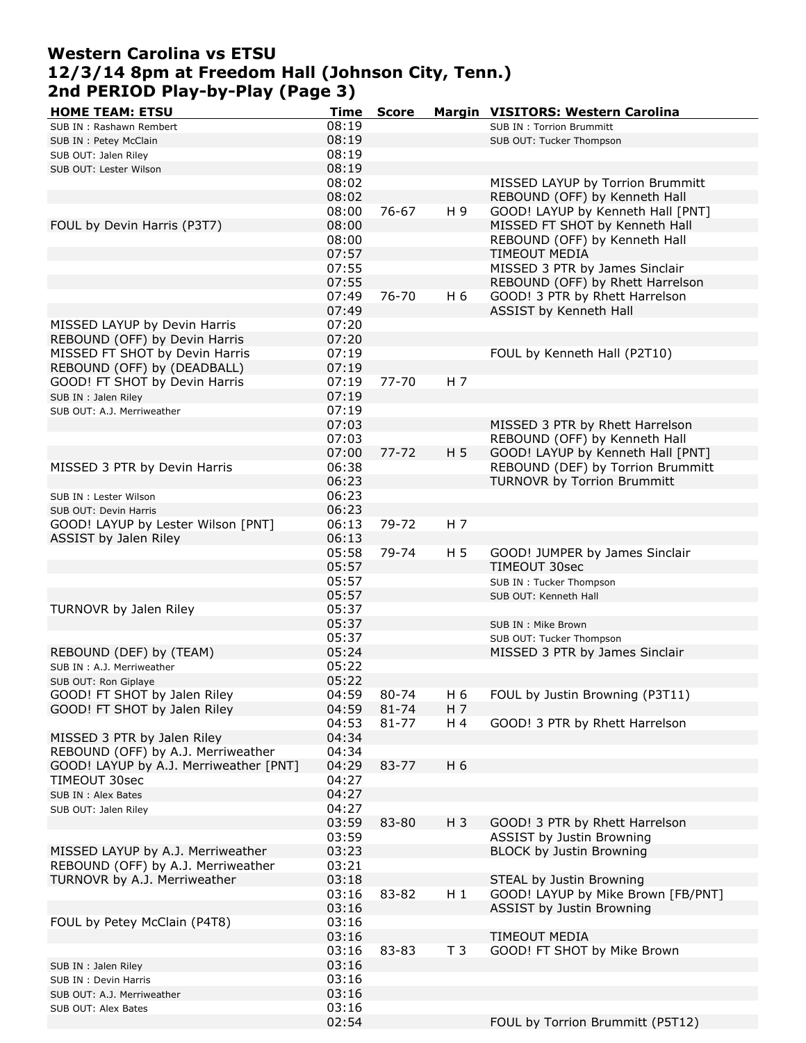### **Western Carolina vs ETSU 12/3/14 8pm at Freedom Hall (Johnson City, Tenn.) 2nd PERIOD Play-by-Play (Page 3)**

| <b>HOME TEAM: ETSU</b>                 | Time  | <b>Score</b> |                | Margin VISITORS: Western Carolina  |
|----------------------------------------|-------|--------------|----------------|------------------------------------|
| SUB IN: Rashawn Rembert                | 08:19 |              |                | <b>SUB IN: Torrion Brummitt</b>    |
| SUB IN : Petey McClain                 | 08:19 |              |                | SUB OUT: Tucker Thompson           |
| SUB OUT: Jalen Riley                   | 08:19 |              |                |                                    |
| SUB OUT: Lester Wilson                 | 08:19 |              |                |                                    |
|                                        | 08:02 |              |                | MISSED LAYUP by Torrion Brummitt   |
|                                        | 08:02 |              |                | REBOUND (OFF) by Kenneth Hall      |
|                                        |       |              |                |                                    |
|                                        | 08:00 | 76-67        | H 9            | GOOD! LAYUP by Kenneth Hall [PNT]  |
| FOUL by Devin Harris (P3T7)            | 08:00 |              |                | MISSED FT SHOT by Kenneth Hall     |
|                                        | 08:00 |              |                | REBOUND (OFF) by Kenneth Hall      |
|                                        | 07:57 |              |                | <b>TIMEOUT MEDIA</b>               |
|                                        | 07:55 |              |                | MISSED 3 PTR by James Sinclair     |
|                                        | 07:55 |              |                | REBOUND (OFF) by Rhett Harrelson   |
|                                        | 07:49 | $76 - 70$    | H 6            | GOOD! 3 PTR by Rhett Harrelson     |
|                                        | 07:49 |              |                | ASSIST by Kenneth Hall             |
| MISSED LAYUP by Devin Harris           | 07:20 |              |                |                                    |
| REBOUND (OFF) by Devin Harris          | 07:20 |              |                |                                    |
| MISSED FT SHOT by Devin Harris         | 07:19 |              |                | FOUL by Kenneth Hall (P2T10)       |
|                                        |       |              |                |                                    |
| REBOUND (OFF) by (DEADBALL)            | 07:19 |              |                |                                    |
| GOOD! FT SHOT by Devin Harris          | 07:19 | $77 - 70$    | H 7            |                                    |
| SUB IN : Jalen Riley                   | 07:19 |              |                |                                    |
| SUB OUT: A.J. Merriweather             | 07:19 |              |                |                                    |
|                                        | 07:03 |              |                | MISSED 3 PTR by Rhett Harrelson    |
|                                        | 07:03 |              |                | REBOUND (OFF) by Kenneth Hall      |
|                                        | 07:00 | $77 - 72$    | H 5            | GOOD! LAYUP by Kenneth Hall [PNT]  |
| MISSED 3 PTR by Devin Harris           | 06:38 |              |                | REBOUND (DEF) by Torrion Brummitt  |
|                                        | 06:23 |              |                | <b>TURNOVR by Torrion Brummitt</b> |
|                                        |       |              |                |                                    |
| SUB IN : Lester Wilson                 | 06:23 |              |                |                                    |
| SUB OUT: Devin Harris                  | 06:23 |              |                |                                    |
| GOOD! LAYUP by Lester Wilson [PNT]     | 06:13 | 79-72        | H 7            |                                    |
| ASSIST by Jalen Riley                  | 06:13 |              |                |                                    |
|                                        | 05:58 | 79-74        | H 5            | GOOD! JUMPER by James Sinclair     |
|                                        | 05:57 |              |                | TIMEOUT 30sec                      |
|                                        | 05:57 |              |                | SUB IN : Tucker Thompson           |
|                                        | 05:57 |              |                | SUB OUT: Kenneth Hall              |
| TURNOVR by Jalen Riley                 | 05:37 |              |                |                                    |
|                                        | 05:37 |              |                | SUB IN : Mike Brown                |
|                                        | 05:37 |              |                |                                    |
|                                        | 05:24 |              |                | SUB OUT: Tucker Thompson           |
| REBOUND (DEF) by (TEAM)                |       |              |                | MISSED 3 PTR by James Sinclair     |
| SUB IN : A.J. Merriweather             | 05:22 |              |                |                                    |
| SUB OUT: Ron Giplaye                   | 05:22 |              |                |                                    |
| GOOD! FT SHOT by Jalen Riley           | 04:59 | 80-74        | H 6            | FOUL by Justin Browning (P3T11)    |
| GOOD! FT SHOT by Jalen Riley           | 04:59 | 81-74        | H 7            |                                    |
|                                        | 04:53 | $81 - 77$    | H 4            | GOOD! 3 PTR by Rhett Harrelson     |
| MISSED 3 PTR by Jalen Riley            | 04:34 |              |                |                                    |
| REBOUND (OFF) by A.J. Merriweather     | 04:34 |              |                |                                    |
| GOOD! LAYUP by A.J. Merriweather [PNT] | 04:29 | 83-77        | H 6            |                                    |
| TIMEOUT 30sec                          | 04:27 |              |                |                                    |
| SUB IN : Alex Bates                    | 04:27 |              |                |                                    |
|                                        | 04:27 |              |                |                                    |
| SUB OUT: Jalen Riley                   |       |              |                |                                    |
|                                        | 03:59 | 83-80        | $H_3$          | GOOD! 3 PTR by Rhett Harrelson     |
|                                        | 03:59 |              |                | <b>ASSIST by Justin Browning</b>   |
| MISSED LAYUP by A.J. Merriweather      | 03:23 |              |                | <b>BLOCK by Justin Browning</b>    |
| REBOUND (OFF) by A.J. Merriweather     | 03:21 |              |                |                                    |
| TURNOVR by A.J. Merriweather           | 03:18 |              |                | STEAL by Justin Browning           |
|                                        | 03:16 | 83-82        | $H_1$          | GOOD! LAYUP by Mike Brown [FB/PNT] |
|                                        | 03:16 |              |                | <b>ASSIST by Justin Browning</b>   |
| FOUL by Petey McClain (P4T8)           | 03:16 |              |                |                                    |
|                                        | 03:16 |              |                | TIMEOUT MEDIA                      |
|                                        | 03:16 | 83-83        | T <sub>3</sub> | GOOD! FT SHOT by Mike Brown        |
|                                        |       |              |                |                                    |
| SUB IN : Jalen Riley                   | 03:16 |              |                |                                    |
| SUB IN : Devin Harris                  | 03:16 |              |                |                                    |
| SUB OUT: A.J. Merriweather             | 03:16 |              |                |                                    |
| SUB OUT: Alex Bates                    | 03:16 |              |                |                                    |
|                                        | 02:54 |              |                | FOUL by Torrion Brummitt (P5T12)   |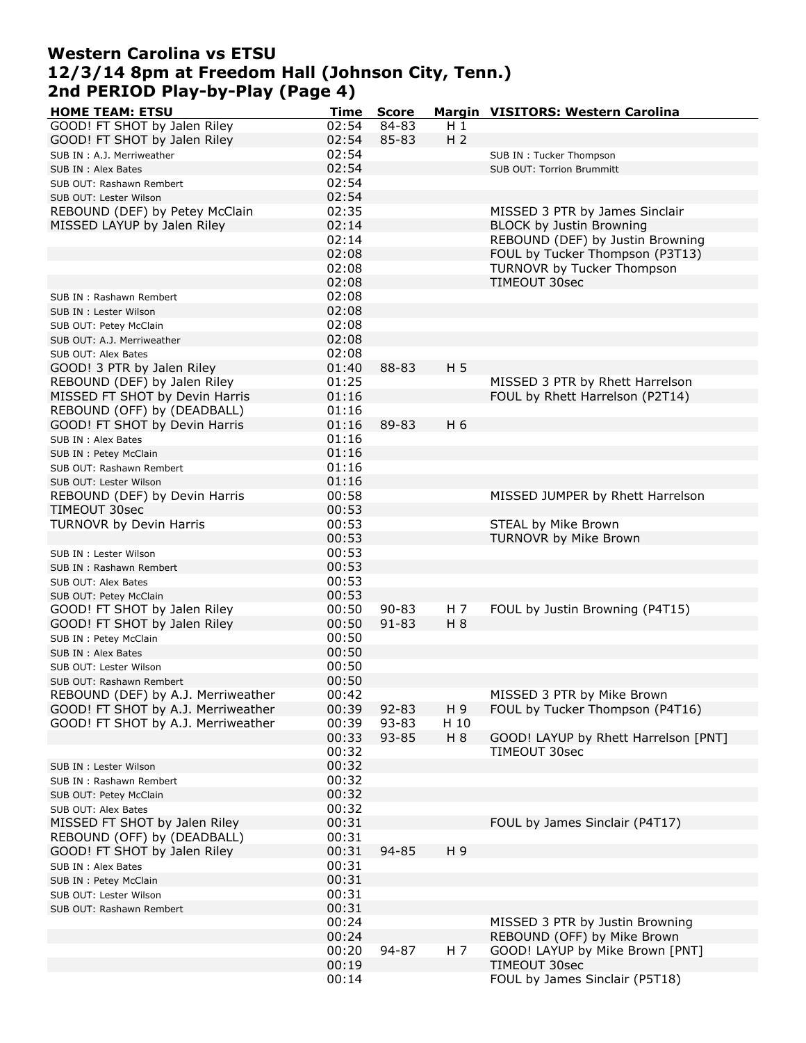### **Western Carolina vs ETSU 12/3/14 8pm at Freedom Hall (Johnson City, Tenn.) 2nd PERIOD Play-by-Play (Page 4)**

| <b>HOME TEAM: ETSU</b>             | Time  | <b>Score</b> |                | Margin VISITORS: Western Carolina           |
|------------------------------------|-------|--------------|----------------|---------------------------------------------|
| GOOD! FT SHOT by Jalen Riley       | 02:54 | 84-83        | $H_1$          |                                             |
| GOOD! FT SHOT by Jalen Riley       | 02:54 | 85-83        | H <sub>2</sub> |                                             |
| SUB IN : A.J. Merriweather         | 02:54 |              |                | SUB IN : Tucker Thompson                    |
| SUB IN : Alex Bates                | 02:54 |              |                | <b>SUB OUT: Torrion Brummitt</b>            |
| SUB OUT: Rashawn Rembert           | 02:54 |              |                |                                             |
| SUB OUT: Lester Wilson             | 02:54 |              |                |                                             |
| REBOUND (DEF) by Petey McClain     | 02:35 |              |                | MISSED 3 PTR by James Sinclair              |
| MISSED LAYUP by Jalen Riley        | 02:14 |              |                | <b>BLOCK by Justin Browning</b>             |
|                                    | 02:14 |              |                | REBOUND (DEF) by Justin Browning            |
|                                    | 02:08 |              |                | FOUL by Tucker Thompson (P3T13)             |
|                                    |       |              |                |                                             |
|                                    | 02:08 |              |                | TURNOVR by Tucker Thompson<br>TIMFOUT 30sec |
|                                    | 02:08 |              |                |                                             |
| SUB IN: Rashawn Rembert            | 02:08 |              |                |                                             |
| SUB IN : Lester Wilson             | 02:08 |              |                |                                             |
| SUB OUT: Petey McClain             | 02:08 |              |                |                                             |
| SUB OUT: A.J. Merriweather         | 02:08 |              |                |                                             |
| SUB OUT: Alex Bates                | 02:08 |              |                |                                             |
| GOOD! 3 PTR by Jalen Riley         | 01:40 | 88-83        | H <sub>5</sub> |                                             |
| REBOUND (DEF) by Jalen Riley       | 01:25 |              |                | MISSED 3 PTR by Rhett Harrelson             |
| MISSED FT SHOT by Devin Harris     | 01:16 |              |                | FOUL by Rhett Harrelson (P2T14)             |
| REBOUND (OFF) by (DEADBALL)        | 01:16 |              |                |                                             |
| GOOD! FT SHOT by Devin Harris      | 01:16 | 89-83        | H 6            |                                             |
| SUB IN: Alex Bates                 | 01:16 |              |                |                                             |
| SUB IN : Petey McClain             | 01:16 |              |                |                                             |
| SUB OUT: Rashawn Rembert           | 01:16 |              |                |                                             |
| SUB OUT: Lester Wilson             | 01:16 |              |                |                                             |
| REBOUND (DEF) by Devin Harris      | 00:58 |              |                | MISSED JUMPER by Rhett Harrelson            |
| TIMEOUT 30sec                      | 00:53 |              |                |                                             |
| TURNOVR by Devin Harris            | 00:53 |              |                | STEAL by Mike Brown                         |
|                                    | 00:53 |              |                | TURNOVR by Mike Brown                       |
| SUB IN : Lester Wilson             | 00:53 |              |                |                                             |
|                                    | 00:53 |              |                |                                             |
| SUB IN: Rashawn Rembert            | 00:53 |              |                |                                             |
| SUB OUT: Alex Bates                | 00:53 |              |                |                                             |
| SUB OUT: Petey McClain             |       | $90 - 83$    |                |                                             |
| GOOD! FT SHOT by Jalen Riley       | 00:50 |              | H 7            | FOUL by Justin Browning (P4T15)             |
| GOOD! FT SHOT by Jalen Riley       | 00:50 | $91 - 83$    | H 8            |                                             |
| SUB IN : Petey McClain             | 00:50 |              |                |                                             |
| SUB IN : Alex Bates                | 00:50 |              |                |                                             |
| SUB OUT: Lester Wilson             | 00:50 |              |                |                                             |
| SUB OUT: Rashawn Rembert           | 00:50 |              |                |                                             |
| REBOUND (DEF) by A.J. Merriweather | 00:42 |              |                | MISSED 3 PTR by Mike Brown                  |
| GOOD! FT SHOT by A.J. Merriweather | 00:39 | $92 - 83$    | H 9            | FOUL by Tucker Thompson (P4T16)             |
| GOOD! FT SHOT by A.J. Merriweather | 00:39 | 93-83        | H 10           |                                             |
|                                    | 00:33 | 93-85        | H 8            | GOOD! LAYUP by Rhett Harrelson [PNT]        |
|                                    | 00:32 |              |                | TIMEOUT 30sec                               |
| SUB IN : Lester Wilson             | 00:32 |              |                |                                             |
| SUB IN: Rashawn Rembert            | 00:32 |              |                |                                             |
| SUB OUT: Petey McClain             | 00:32 |              |                |                                             |
| SUB OUT: Alex Bates                | 00:32 |              |                |                                             |
| MISSED FT SHOT by Jalen Riley      | 00:31 |              |                | FOUL by James Sinclair (P4T17)              |
| REBOUND (OFF) by (DEADBALL)        | 00:31 |              |                |                                             |
| GOOD! FT SHOT by Jalen Riley       | 00:31 | 94-85        | H 9            |                                             |
| SUB IN : Alex Bates                | 00:31 |              |                |                                             |
| SUB IN : Petey McClain             | 00:31 |              |                |                                             |
| SUB OUT: Lester Wilson             | 00:31 |              |                |                                             |
| SUB OUT: Rashawn Rembert           | 00:31 |              |                |                                             |
|                                    | 00:24 |              |                | MISSED 3 PTR by Justin Browning             |
|                                    | 00:24 |              |                | REBOUND (OFF) by Mike Brown                 |
|                                    | 00:20 | 94-87        | H 7            | GOOD! LAYUP by Mike Brown [PNT]             |
|                                    | 00:19 |              |                | TIMEOUT 30sec                               |
|                                    | 00:14 |              |                | FOUL by James Sinclair (P5T18)              |
|                                    |       |              |                |                                             |